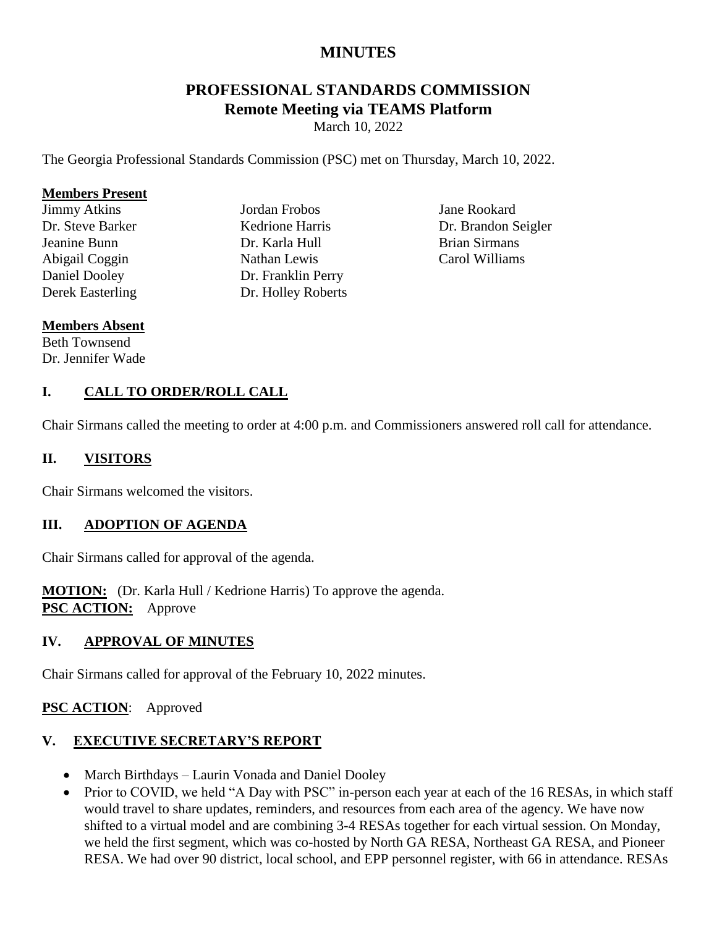# **MINUTES**

# **PROFESSIONAL STANDARDS COMMISSION Remote Meeting via TEAMS Platform**

March 10, 2022

The Georgia Professional Standards Commission (PSC) met on Thursday, March 10, 2022.

#### **Members Present**

Jimmy Atkins Dr. Steve Barker Jeanine Bunn Abigail Coggin Daniel Dooley Derek Easterling Jordan Frobos Kedrione Harris Dr. Karla Hull Nathan Lewis Dr. Franklin Perry Dr. Holley Roberts

Jane Rookard Dr. Brandon Seigler Brian Sirmans Carol Williams

#### **Members Absent** Beth Townsend

Dr. Jennifer Wade

#### **I. CALL TO ORDER/ROLL CALL**

Chair Sirmans called the meeting to order at 4:00 p.m. and Commissioners answered roll call for attendance.

#### **II. VISITORS**

Chair Sirmans welcomed the visitors.

#### **III. ADOPTION OF AGENDA**

Chair Sirmans called for approval of the agenda.

**MOTION:** (Dr. Karla Hull / Kedrione Harris) To approve the agenda. **PSC ACTION:** Approve

#### **IV. APPROVAL OF MINUTES**

Chair Sirmans called for approval of the February 10, 2022 minutes.

#### **PSC ACTION**: Approved

# **V. EXECUTIVE SECRETARY'S REPORT**

- March Birthdays Laurin Vonada and Daniel Dooley
- Prior to COVID, we held "A Day with PSC" in-person each year at each of the 16 RESAs, in which staff would travel to share updates, reminders, and resources from each area of the agency. We have now shifted to a virtual model and are combining 3-4 RESAs together for each virtual session. On Monday, we held the first segment, which was co-hosted by North GA RESA, Northeast GA RESA, and Pioneer RESA. We had over 90 district, local school, and EPP personnel register, with 66 in attendance. RESAs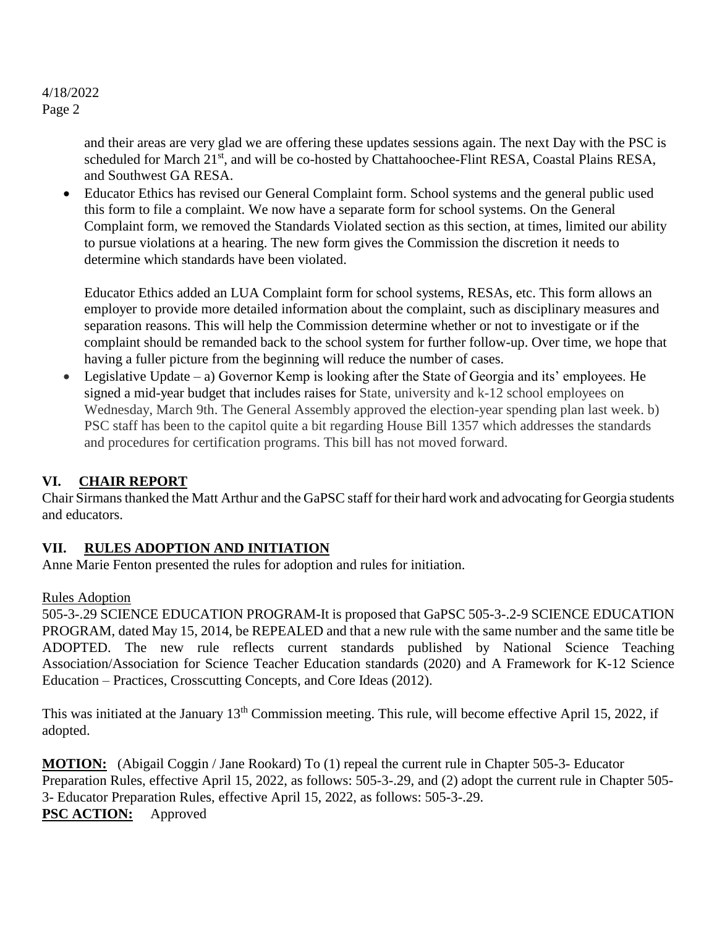> and their areas are very glad we are offering these updates sessions again. The next Day with the PSC is scheduled for March 21<sup>st</sup>, and will be co-hosted by Chattahoochee-Flint RESA, Coastal Plains RESA, and Southwest GA RESA.

 Educator Ethics has revised our General Complaint form. School systems and the general public used this form to file a complaint. We now have a separate form for school systems. On the General Complaint form, we removed the Standards Violated section as this section, at times, limited our ability to pursue violations at a hearing. The new form gives the Commission the discretion it needs to determine which standards have been violated.

Educator Ethics added an LUA Complaint form for school systems, RESAs, etc. This form allows an employer to provide more detailed information about the complaint, such as disciplinary measures and separation reasons. This will help the Commission determine whether or not to investigate or if the complaint should be remanded back to the school system for further follow-up. Over time, we hope that having a fuller picture from the beginning will reduce the number of cases.

 Legislative Update – a) Governor Kemp is looking after the State of Georgia and its' employees. He signed a mid-year budget that includes raises for State, university and k-12 school employees on Wednesday, March 9th. The General Assembly approved the election-year spending plan last week. b) PSC staff has been to the capitol quite a bit regarding House Bill 1357 which addresses the standards and procedures for certification programs. This bill has not moved forward.

# **VI. CHAIR REPORT**

Chair Sirmans thanked the Matt Arthur and the GaPSC staff for their hard work and advocating for Georgia students and educators.

#### **VII. RULES ADOPTION AND INITIATION**

Anne Marie Fenton presented the rules for adoption and rules for initiation.

#### Rules Adoption

505-3-.29 SCIENCE EDUCATION PROGRAM-It is proposed that GaPSC 505-3-.2-9 SCIENCE EDUCATION PROGRAM, dated May 15, 2014, be REPEALED and that a new rule with the same number and the same title be ADOPTED. The new rule reflects current standards published by National Science Teaching Association/Association for Science Teacher Education standards (2020) and A Framework for K-12 Science Education – Practices, Crosscutting Concepts, and Core Ideas (2012).

This was initiated at the January 13<sup>th</sup> Commission meeting. This rule, will become effective April 15, 2022, if adopted.

**MOTION:** (Abigail Coggin / Jane Rookard) To (1) repeal the current rule in Chapter 505-3- Educator Preparation Rules, effective April 15, 2022, as follows: 505-3-.29, and (2) adopt the current rule in Chapter 505- 3- Educator Preparation Rules, effective April 15, 2022, as follows: 505-3-.29. **PSC ACTION:** Approved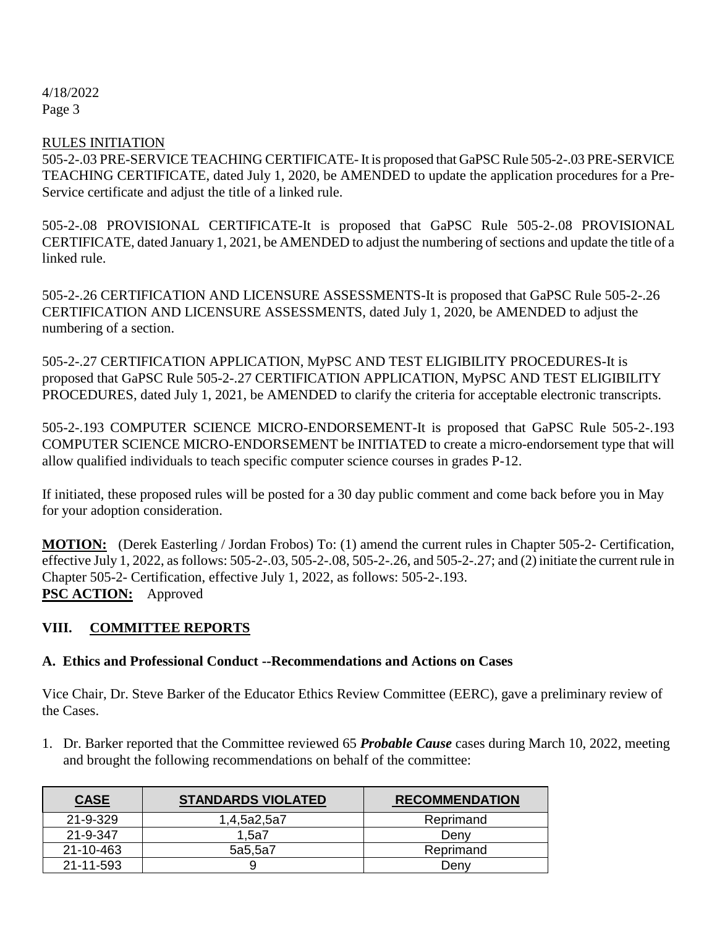#### RULES INITIATION

505-2-.03 PRE-SERVICE TEACHING CERTIFICATE- It is proposed that GaPSC Rule 505-2-.03 PRE-SERVICE TEACHING CERTIFICATE, dated July 1, 2020, be AMENDED to update the application procedures for a Pre-Service certificate and adjust the title of a linked rule.

505-2-.08 PROVISIONAL CERTIFICATE-It is proposed that GaPSC Rule 505-2-.08 PROVISIONAL CERTIFICATE, dated January 1, 2021, be AMENDED to adjust the numbering of sections and update the title of a linked rule.

505-2-.26 CERTIFICATION AND LICENSURE ASSESSMENTS-It is proposed that GaPSC Rule 505-2-.26 CERTIFICATION AND LICENSURE ASSESSMENTS, dated July 1, 2020, be AMENDED to adjust the numbering of a section.

505-2-.27 CERTIFICATION APPLICATION, MyPSC AND TEST ELIGIBILITY PROCEDURES-It is proposed that GaPSC Rule 505-2-.27 CERTIFICATION APPLICATION, MyPSC AND TEST ELIGIBILITY PROCEDURES, dated July 1, 2021, be AMENDED to clarify the criteria for acceptable electronic transcripts.

505-2-.193 COMPUTER SCIENCE MICRO-ENDORSEMENT-It is proposed that GaPSC Rule 505-2-.193 COMPUTER SCIENCE MICRO-ENDORSEMENT be INITIATED to create a micro-endorsement type that will allow qualified individuals to teach specific computer science courses in grades P-12.

If initiated, these proposed rules will be posted for a 30 day public comment and come back before you in May for your adoption consideration.

**MOTION:** (Derek Easterling / Jordan Frobos) To: (1) amend the current rules in Chapter 505-2- Certification, effective July 1, 2022, as follows: 505-2-.03, 505-2-.08, 505-2-.26, and 505-2-.27; and (2) initiate the current rule in Chapter 505-2- Certification, effective July 1, 2022, as follows: 505-2-.193. **PSC ACTION:** Approved

#### **VIII. COMMITTEE REPORTS**

#### **A. Ethics and Professional Conduct --Recommendations and Actions on Cases**

Vice Chair, Dr. Steve Barker of the Educator Ethics Review Committee (EERC), gave a preliminary review of the Cases.

1. Dr. Barker reported that the Committee reviewed 65 *Probable Cause* cases during March 10, 2022, meeting and brought the following recommendations on behalf of the committee:

| <b>CASE</b> | <b>STANDARDS VIOLATED</b> | <b>RECOMMENDATION</b> |
|-------------|---------------------------|-----------------------|
| 21-9-329    | 1,4,5a2,5a7               | Reprimand             |
| 21-9-347    | 1.5a7                     | Denv                  |
| 21-10-463   | 5a5,5a7                   | Reprimand             |
| 21-11-593   |                           | Denv                  |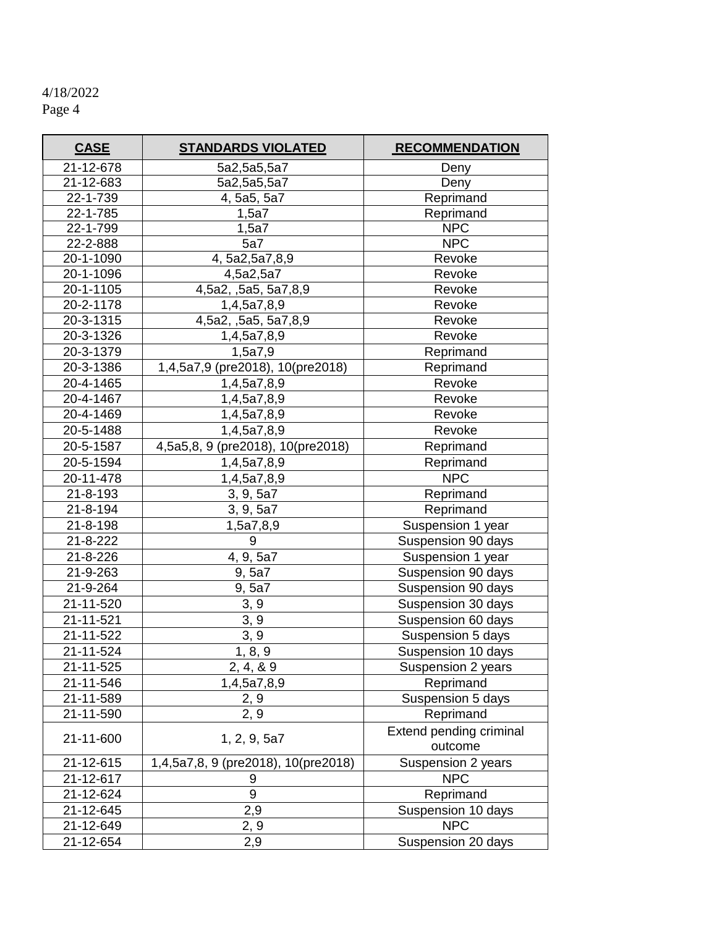| <b>CASE</b>    | <b>STANDARDS VIOLATED</b>           | <b>RECOMMENDATION</b>              |  |  |
|----------------|-------------------------------------|------------------------------------|--|--|
| 21-12-678      | 5a2,5a5,5a7                         | Deny                               |  |  |
| 21-12-683      | 5a2,5a5,5a7                         | Deny                               |  |  |
| 22-1-739       | 4, 5a5, 5a7                         | Reprimand                          |  |  |
| 22-1-785       | 1,5a7                               | Reprimand                          |  |  |
| 22-1-799       | 1,5a7                               | <b>NPC</b>                         |  |  |
| 22-2-888       | 5a7                                 | <b>NPC</b>                         |  |  |
| 20-1-1090      | 4, 5a2, 5a7, 8, 9                   | Revoke                             |  |  |
| 20-1-1096      | 4,5a2,5a7                           | Revoke                             |  |  |
| 20-1-1105      | 4,5a2, ,5a5, 5a7,8,9                | Revoke                             |  |  |
| 20-2-1178      | 1,4,5a7,8,9                         | Revoke                             |  |  |
| 20-3-1315      | 4,5a2, ,5a5, 5a7,8,9                | Revoke                             |  |  |
| 20-3-1326      | 1,4,5a7,8,9                         | Revoke                             |  |  |
| 20-3-1379      | 1,5a7,9                             | Reprimand                          |  |  |
| 20-3-1386      | 1,4,5a7,9 (pre2018), 10(pre2018)    | Reprimand                          |  |  |
| 20-4-1465      | 1,4,5a7,8,9                         | Revoke                             |  |  |
| 20-4-1467      | 1,4,5a7,8,9                         | Revoke                             |  |  |
| 20-4-1469      | 1,4,5a7,8,9                         | Revoke                             |  |  |
| 20-5-1488      | 1,4,5a7,8,9                         | Revoke                             |  |  |
| 20-5-1587      | 4,5a5,8, 9 (pre2018), 10(pre2018)   | Reprimand                          |  |  |
| 20-5-1594      | 1,4,5a7,8,9                         | Reprimand                          |  |  |
| 20-11-478      | 1,4,5a7,8,9                         | <b>NPC</b>                         |  |  |
| $21 - 8 - 193$ | 3, 9, 5a7                           | Reprimand                          |  |  |
| 21-8-194       | 3, 9, 5a7                           | Reprimand                          |  |  |
| 21-8-198       | 1,5a7,8,9                           | Suspension 1 year                  |  |  |
| 21-8-222       | 9                                   | Suspension 90 days                 |  |  |
| 21-8-226       | 4, 9, 5a7                           | Suspension 1 year                  |  |  |
| 21-9-263       | $\overline{9,5}$ a7                 | Suspension 90 days                 |  |  |
| 21-9-264       | 9,5a7                               | Suspension 90 days                 |  |  |
| 21-11-520      | 3, 9                                | Suspension 30 days                 |  |  |
| 21-11-521      | 3, 9                                | Suspension 60 days                 |  |  |
| 21-11-522      | 3, 9                                | Suspension 5 days                  |  |  |
| 21-11-524      | 1, 8, 9                             | Suspension 10 days                 |  |  |
| 21-11-525      | 2, 4, & 9                           | Suspension 2 years                 |  |  |
| 21-11-546      | 1,4,5a7,8,9                         | Reprimand                          |  |  |
| 21-11-589      | 2, 9                                | Suspension 5 days                  |  |  |
| 21-11-590      | 2, 9                                | Reprimand                          |  |  |
| 21-11-600      | 1, 2, 9, 5a7                        | Extend pending criminal<br>outcome |  |  |
| 21-12-615      | 1,4,5a7,8, 9 (pre2018), 10(pre2018) | Suspension 2 years                 |  |  |
| 21-12-617      | 9                                   | <b>NPC</b>                         |  |  |
| 21-12-624      | 9                                   | Reprimand                          |  |  |
| 21-12-645      | 2,9                                 | Suspension 10 days                 |  |  |
| 21-12-649      | 2, 9                                | <b>NPC</b>                         |  |  |
| 21-12-654      | 2,9                                 | Suspension 20 days                 |  |  |

ä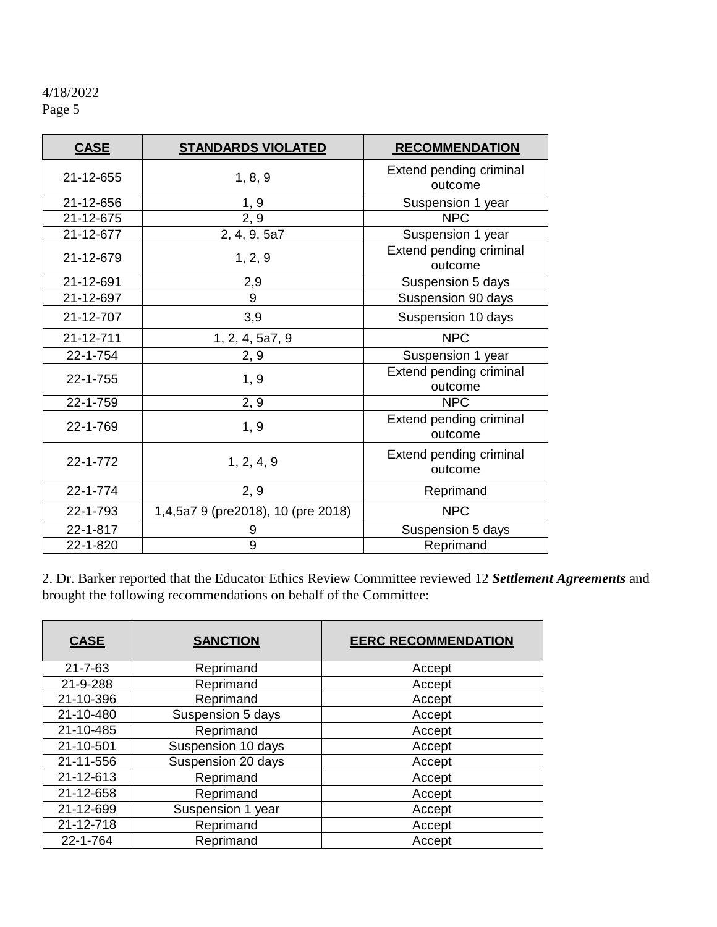| <b>CASE</b> | <b>STANDARDS VIOLATED</b>          | <b>RECOMMENDATION</b>              |  |  |
|-------------|------------------------------------|------------------------------------|--|--|
| 21-12-655   | 1, 8, 9                            | Extend pending criminal<br>outcome |  |  |
| 21-12-656   | 1, 9                               | Suspension 1 year                  |  |  |
| 21-12-675   | 2, 9                               | <b>NPC</b>                         |  |  |
| 21-12-677   | 2, 4, 9, 5a7                       | Suspension 1 year                  |  |  |
| 21-12-679   | 1, 2, 9                            | Extend pending criminal<br>outcome |  |  |
| 21-12-691   | 2,9                                | Suspension 5 days                  |  |  |
| 21-12-697   | 9                                  | Suspension 90 days                 |  |  |
| 21-12-707   | 3,9                                | Suspension 10 days                 |  |  |
| 21-12-711   | 1, 2, 4, 5a7, 9                    | <b>NPC</b>                         |  |  |
| 22-1-754    | 2, 9                               | Suspension 1 year                  |  |  |
| 22-1-755    | 1, 9                               | Extend pending criminal<br>outcome |  |  |
| 22-1-759    | 2, 9                               | <b>NPC</b>                         |  |  |
| 22-1-769    | 1, 9                               | Extend pending criminal<br>outcome |  |  |
| 22-1-772    | 1, 2, 4, 9                         | Extend pending criminal<br>outcome |  |  |
| 22-1-774    | 2, 9                               | Reprimand                          |  |  |
| 22-1-793    | 1,4,5a7 9 (pre2018), 10 (pre 2018) | <b>NPC</b>                         |  |  |
| 22-1-817    | 9                                  | Suspension 5 days                  |  |  |
| 22-1-820    | 9                                  | Reprimand                          |  |  |

2. Dr. Barker reported that the Educator Ethics Review Committee reviewed 12 *Settlement Agreements* and brought the following recommendations on behalf of the Committee:

| <b>CASE</b>   | <b>SANCTION</b>              | <b>EERC RECOMMENDATION</b> |  |
|---------------|------------------------------|----------------------------|--|
| $21 - 7 - 63$ | Reprimand                    | Accept                     |  |
| 21-9-288      | Reprimand                    | Accept                     |  |
| 21-10-396     | Reprimand                    | Accept                     |  |
| 21-10-480     | Suspension 5 days            | Accept                     |  |
| 21-10-485     | Reprimand                    | Accept                     |  |
| 21-10-501     | Suspension 10 days           | Accept                     |  |
| 21-11-556     | Suspension 20 days<br>Accept |                            |  |
| 21-12-613     | Reprimand                    | Accept                     |  |
| 21-12-658     | Reprimand                    | Accept                     |  |
| 21-12-699     | Suspension 1 year            | Accept                     |  |
| 21-12-718     | Reprimand                    | Accept                     |  |
| 22-1-764      | Reprimand                    | Accept                     |  |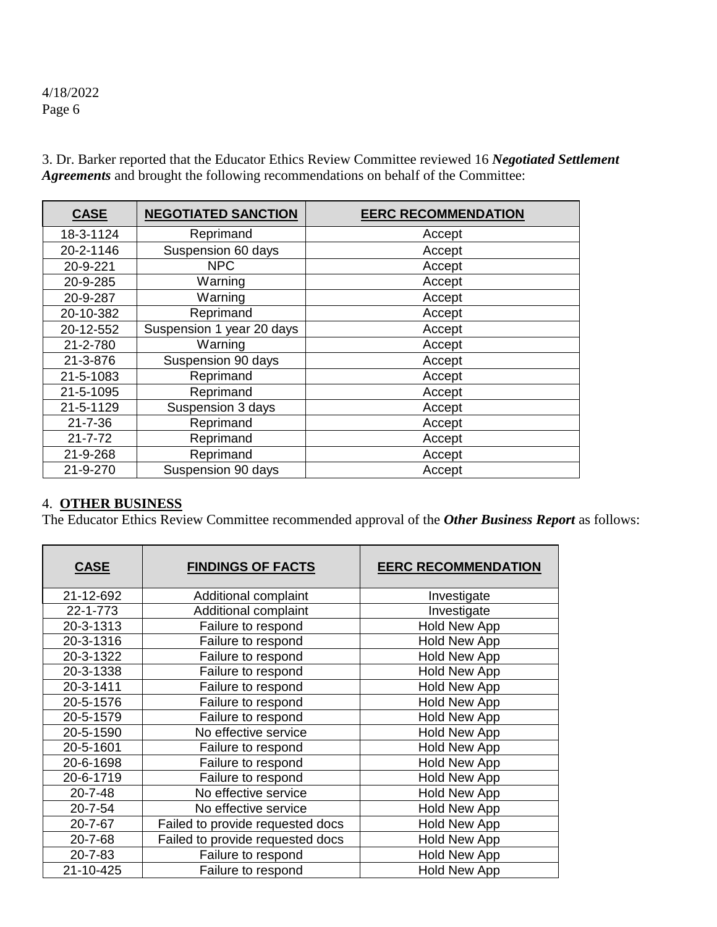**CASE NEGOTIATED SANCTION EERC RECOMMENDATION** 18-3-1124 Reprimand Reprimand Recept 20-2-1146 | Suspension 60 days | Accept 20-9-221 NPC Accept 20-9-285 | Warning | Accept 20-9-287 | Warning | Accept 20-10-382 Reprimand and Accept 20-12-552 Suspension 1 year 20 days Accept 21-2-780 | Warning | Accept 21-3-876 | Suspension 90 days | Accept 21-5-1083 **Reprimand Reprimand Reprimand Reprimand** 21-5-1095 Reprimand Accept<br>
21-5-1129 Suspension 3 days Accept Suspension 3 days Accept 21-7-36 | Reprimand | Accept 21-7-72 Reprimand and Accept 21-9-268 Reprimand **Reprimand** Accept 21-9-270 | Suspension 90 days | Accept

3. Dr. Barker reported that the Educator Ethics Review Committee reviewed 16 *Negotiated Settlement Agreements* and brought the following recommendations on behalf of the Committee:

#### 4. **OTHER BUSINESS**

The Educator Ethics Review Committee recommended approval of the *Other Business Report* as follows:

| <b>CASE</b>   | <b>FINDINGS OF FACTS</b>         | <b>EERC RECOMMENDATION</b> |  |  |
|---------------|----------------------------------|----------------------------|--|--|
| 21-12-692     | Additional complaint             | Investigate                |  |  |
| 22-1-773      | Additional complaint             | Investigate                |  |  |
| 20-3-1313     | Failure to respond               | <b>Hold New App</b>        |  |  |
| 20-3-1316     | Failure to respond               | <b>Hold New App</b>        |  |  |
| 20-3-1322     | Failure to respond               | Hold New App               |  |  |
| 20-3-1338     | Failure to respond               | <b>Hold New App</b>        |  |  |
| 20-3-1411     | Failure to respond               | <b>Hold New App</b>        |  |  |
| 20-5-1576     | Failure to respond               | <b>Hold New App</b>        |  |  |
| 20-5-1579     | Failure to respond               | <b>Hold New App</b>        |  |  |
| 20-5-1590     | No effective service             | <b>Hold New App</b>        |  |  |
| 20-5-1601     | Failure to respond               | Hold New App               |  |  |
| 20-6-1698     | Failure to respond               | Hold New App               |  |  |
| 20-6-1719     | Failure to respond               | <b>Hold New App</b>        |  |  |
| $20 - 7 - 48$ | No effective service             | Hold New App               |  |  |
| $20 - 7 - 54$ | No effective service             | Hold New App               |  |  |
| $20 - 7 - 67$ | Failed to provide requested docs | <b>Hold New App</b>        |  |  |
| $20 - 7 - 68$ | Failed to provide requested docs | Hold New App               |  |  |
| $20 - 7 - 83$ | Failure to respond               | Hold New App               |  |  |
| 21-10-425     | Failure to respond               | <b>Hold New App</b>        |  |  |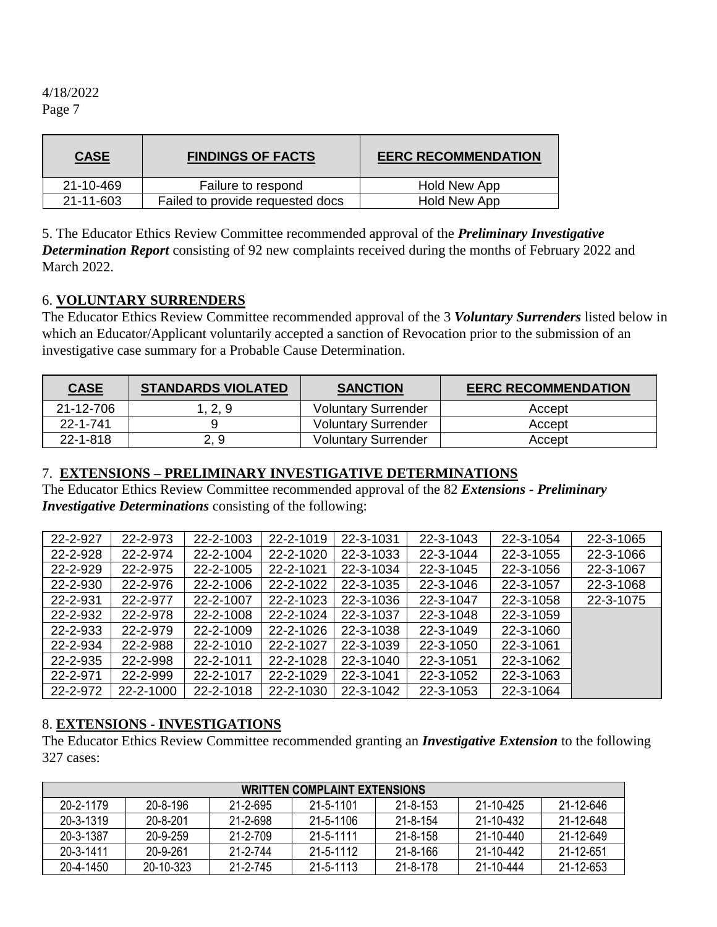| <b>CASE</b> | <b>FINDINGS OF FACTS</b>         | <b>EERC RECOMMENDATION</b> |  |  |
|-------------|----------------------------------|----------------------------|--|--|
| 21-10-469   | Failure to respond               | Hold New App               |  |  |
| 21-11-603   | Failed to provide requested docs | Hold New App               |  |  |

5. The Educator Ethics Review Committee recommended approval of the *Preliminary Investigative Determination Report* consisting of 92 new complaints received during the months of February 2022 and March 2022.

#### 6. **VOLUNTARY SURRENDERS**

The Educator Ethics Review Committee recommended approval of the 3 *Voluntary Surrenders* listed below in which an Educator/Applicant voluntarily accepted a sanction of Revocation prior to the submission of an investigative case summary for a Probable Cause Determination.

| <b>CASE</b>    | <b>STANDARDS VIOLATED</b> | <b>SANCTION</b>            | <b>EERC RECOMMENDATION</b> |
|----------------|---------------------------|----------------------------|----------------------------|
| 21-12-706      | 1, 2, 9                   | <b>Voluntary Surrender</b> | Accept                     |
| $22 - 1 - 741$ |                           | <b>Voluntary Surrender</b> | Accept                     |
| 22-1-818       | 2, 9                      | <b>Voluntary Surrender</b> | Accept                     |

#### 7. **EXTENSIONS – PRELIMINARY INVESTIGATIVE DETERMINATIONS**

The Educator Ethics Review Committee recommended approval of the 82 *Extensions - Preliminary Investigative Determinations* consisting of the following:

| 22-2-927 | 22-2-973  | 22-2-1003 | 22-2-1019 | 22-3-1031 | 22-3-1043 | 22-3-1054 | 22-3-1065 |
|----------|-----------|-----------|-----------|-----------|-----------|-----------|-----------|
| 22-2-928 | 22-2-974  | 22-2-1004 | 22-2-1020 | 22-3-1033 | 22-3-1044 | 22-3-1055 | 22-3-1066 |
| 22-2-929 | 22-2-975  | 22-2-1005 | 22-2-1021 | 22-3-1034 | 22-3-1045 | 22-3-1056 | 22-3-1067 |
| 22-2-930 | 22-2-976  | 22-2-1006 | 22-2-1022 | 22-3-1035 | 22-3-1046 | 22-3-1057 | 22-3-1068 |
| 22-2-931 | 22-2-977  | 22-2-1007 | 22-2-1023 | 22-3-1036 | 22-3-1047 | 22-3-1058 | 22-3-1075 |
| 22-2-932 | 22-2-978  | 22-2-1008 | 22-2-1024 | 22-3-1037 | 22-3-1048 | 22-3-1059 |           |
| 22-2-933 | 22-2-979  | 22-2-1009 | 22-2-1026 | 22-3-1038 | 22-3-1049 | 22-3-1060 |           |
| 22-2-934 | 22-2-988  | 22-2-1010 | 22-2-1027 | 22-3-1039 | 22-3-1050 | 22-3-1061 |           |
| 22-2-935 | 22-2-998  | 22-2-1011 | 22-2-1028 | 22-3-1040 | 22-3-1051 | 22-3-1062 |           |
| 22-2-971 | 22-2-999  | 22-2-1017 | 22-2-1029 | 22-3-1041 | 22-3-1052 | 22-3-1063 |           |
| 22-2-972 | 22-2-1000 | 22-2-1018 | 22-2-1030 | 22-3-1042 | 22-3-1053 | 22-3-1064 |           |

#### 8. **EXTENSIONS - INVESTIGATIONS**

The Educator Ethics Review Committee recommended granting an *Investigative Extension* to the following 327 cases:

| <b>WRITTEN COMPLAINT EXTENSIONS</b> |                |          |                 |                |           |           |
|-------------------------------------|----------------|----------|-----------------|----------------|-----------|-----------|
| 20-2-1179                           | 20-8-196       | 21-2-695 | 21-5-1101       | $21 - 8 - 153$ | 21-10-425 | 21-12-646 |
| 20-3-1319                           | $20 - 8 - 201$ | 21-2-698 | $21 - 5 - 1106$ | $21 - 8 - 154$ | 21-10-432 | 21-12-648 |
| 20-3-1387                           | 20-9-259       | 21-2-709 | $21 - 5 - 1111$ | $21 - 8 - 158$ | 21-10-440 | 21-12-649 |
| 20-3-1411                           | 20-9-261       | 21-2-744 | 21-5-1112       | 21-8-166       | 21-10-442 | 21-12-651 |
| 20-4-1450                           | 20-10-323      | 21-2-745 | $21 - 5 - 1113$ | 21-8-178       | 21-10-444 | 21-12-653 |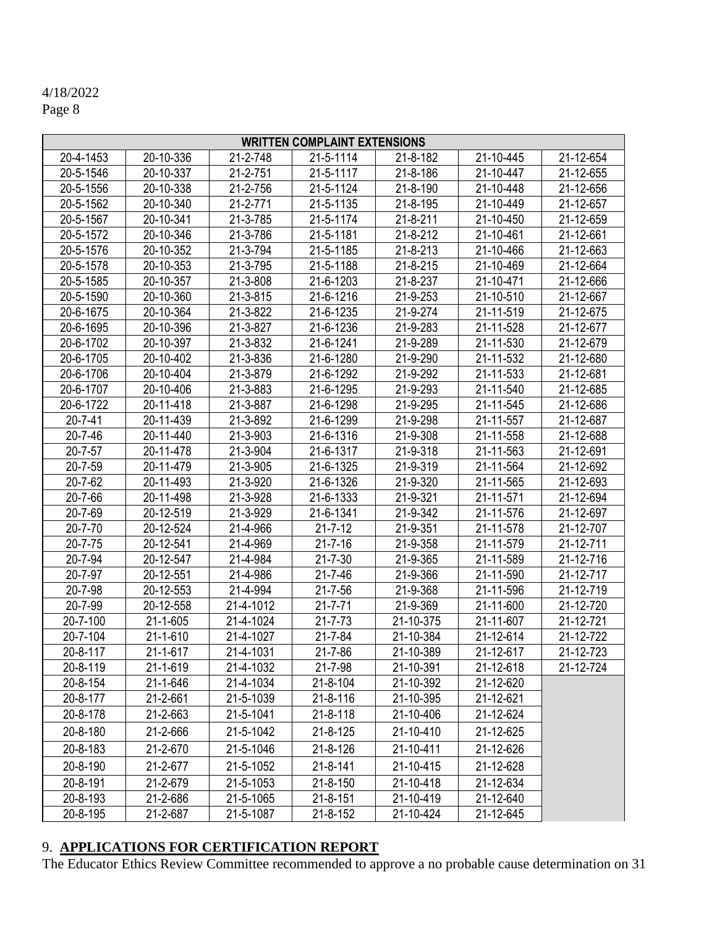# 4/18/2022

Page 8

| <b>WRITTEN COMPLAINT EXTENSIONS</b> |                |           |                |           |           |           |  |
|-------------------------------------|----------------|-----------|----------------|-----------|-----------|-----------|--|
| 20-4-1453                           | 20-10-336      | 21-2-748  | 21-5-1114      | 21-8-182  | 21-10-445 | 21-12-654 |  |
| 20-5-1546                           | 20-10-337      | 21-2-751  | 21-5-1117      | 21-8-186  | 21-10-447 | 21-12-655 |  |
| 20-5-1556                           | 20-10-338      | 21-2-756  | 21-5-1124      | 21-8-190  | 21-10-448 | 21-12-656 |  |
| 20-5-1562                           | 20-10-340      | 21-2-771  | 21-5-1135      | 21-8-195  | 21-10-449 | 21-12-657 |  |
| 20-5-1567                           | 20-10-341      | 21-3-785  | 21-5-1174      | 21-8-211  | 21-10-450 | 21-12-659 |  |
| 20-5-1572                           | 20-10-346      | 21-3-786  | 21-5-1181      | 21-8-212  | 21-10-461 | 21-12-661 |  |
| 20-5-1576                           | 20-10-352      | 21-3-794  | 21-5-1185      | 21-8-213  | 21-10-466 | 21-12-663 |  |
| 20-5-1578                           | 20-10-353      | 21-3-795  | 21-5-1188      | 21-8-215  | 21-10-469 | 21-12-664 |  |
| 20-5-1585                           | 20-10-357      | 21-3-808  | 21-6-1203      | 21-8-237  | 21-10-471 | 21-12-666 |  |
| 20-5-1590                           | 20-10-360      | 21-3-815  | 21-6-1216      | 21-9-253  | 21-10-510 | 21-12-667 |  |
| 20-6-1675                           | 20-10-364      | 21-3-822  | 21-6-1235      | 21-9-274  | 21-11-519 | 21-12-675 |  |
| 20-6-1695                           | 20-10-396      | 21-3-827  | 21-6-1236      | 21-9-283  | 21-11-528 | 21-12-677 |  |
| 20-6-1702                           | 20-10-397      | 21-3-832  | 21-6-1241      | 21-9-289  | 21-11-530 | 21-12-679 |  |
| 20-6-1705                           | 20-10-402      | 21-3-836  | 21-6-1280      | 21-9-290  | 21-11-532 | 21-12-680 |  |
| 20-6-1706                           | 20-10-404      | 21-3-879  | 21-6-1292      | 21-9-292  | 21-11-533 | 21-12-681 |  |
| 20-6-1707                           | 20-10-406      | 21-3-883  | 21-6-1295      | 21-9-293  | 21-11-540 | 21-12-685 |  |
| 20-6-1722                           | 20-11-418      | 21-3-887  | 21-6-1298      | 21-9-295  | 21-11-545 | 21-12-686 |  |
| $20 - 7 - 41$                       | 20-11-439      | 21-3-892  | 21-6-1299      | 21-9-298  | 21-11-557 | 21-12-687 |  |
| $20 - 7 - 46$                       | 20-11-440      | 21-3-903  | 21-6-1316      | 21-9-308  | 21-11-558 | 21-12-688 |  |
| $20 - 7 - 57$                       | 20-11-478      | 21-3-904  | 21-6-1317      | 21-9-318  | 21-11-563 | 21-12-691 |  |
| 20-7-59                             | 20-11-479      | 21-3-905  | 21-6-1325      | 21-9-319  | 21-11-564 | 21-12-692 |  |
| 20-7-62                             | 20-11-493      | 21-3-920  | 21-6-1326      | 21-9-320  | 21-11-565 | 21-12-693 |  |
| 20-7-66                             | 20-11-498      | 21-3-928  | 21-6-1333      | 21-9-321  | 21-11-571 | 21-12-694 |  |
| 20-7-69                             | 20-12-519      | 21-3-929  | 21-6-1341      | 21-9-342  | 21-11-576 | 21-12-697 |  |
| 20-7-70                             | 20-12-524      | 21-4-966  | $21 - 7 - 12$  | 21-9-351  | 21-11-578 | 21-12-707 |  |
| 20-7-75                             | 20-12-541      | 21-4-969  | $21 - 7 - 16$  | 21-9-358  | 21-11-579 | 21-12-711 |  |
| 20-7-94                             | 20-12-547      | 21-4-984  | $21 - 7 - 30$  | 21-9-365  | 21-11-589 | 21-12-716 |  |
| 20-7-97                             | 20-12-551      | 21-4-986  | $21 - 7 - 46$  | 21-9-366  | 21-11-590 | 21-12-717 |  |
| 20-7-98                             | 20-12-553      | 21-4-994  | $21 - 7 - 56$  | 21-9-368  | 21-11-596 | 21-12-719 |  |
| 20-7-99                             | 20-12-558      | 21-4-1012 | $21 - 7 - 71$  | 21-9-369  | 21-11-600 | 21-12-720 |  |
| 20-7-100                            | 21-1-605       | 21-4-1024 | $21 - 7 - 73$  | 21-10-375 | 21-11-607 | 21-12-721 |  |
| 20-7-104                            | 21-1-610       | 21-4-1027 | $21 - 7 - 84$  | 21-10-384 | 21-12-614 | 21-12-722 |  |
| 20-8-117                            | $21 - 1 - 617$ | 21-4-1031 | 21-7-86        | 21-10-389 | 21-12-617 | 21-12-723 |  |
| 20-8-119                            | 21-1-619       | 21-4-1032 | 21-7-98        | 21-10-391 | 21-12-618 | 21-12-724 |  |
| 20-8-154                            | 21-1-646       | 21-4-1034 | 21-8-104       | 21-10-392 | 21-12-620 |           |  |
| 20-8-177                            | 21-2-661       | 21-5-1039 | $21 - 8 - 116$ | 21-10-395 | 21-12-621 |           |  |
| 20-8-178                            | 21-2-663       | 21-5-1041 | $21 - 8 - 118$ | 21-10-406 | 21-12-624 |           |  |
| 20-8-180                            | 21-2-666       | 21-5-1042 | $21 - 8 - 125$ | 21-10-410 | 21-12-625 |           |  |
| 20-8-183                            | 21-2-670       | 21-5-1046 | $21 - 8 - 126$ | 21-10-411 | 21-12-626 |           |  |
| 20-8-190                            | 21-2-677       | 21-5-1052 | $21 - 8 - 141$ | 21-10-415 | 21-12-628 |           |  |
| 20-8-191                            | 21-2-679       | 21-5-1053 | 21-8-150       | 21-10-418 | 21-12-634 |           |  |
| 20-8-193                            | 21-2-686       | 21-5-1065 | $21 - 8 - 151$ | 21-10-419 | 21-12-640 |           |  |
| 20-8-195                            | 21-2-687       | 21-5-1087 | 21-8-152       | 21-10-424 | 21-12-645 |           |  |

# 9. **APPLICATIONS FOR CERTIFICATION REPORT**

The Educator Ethics Review Committee recommended to approve a no probable cause determination on 31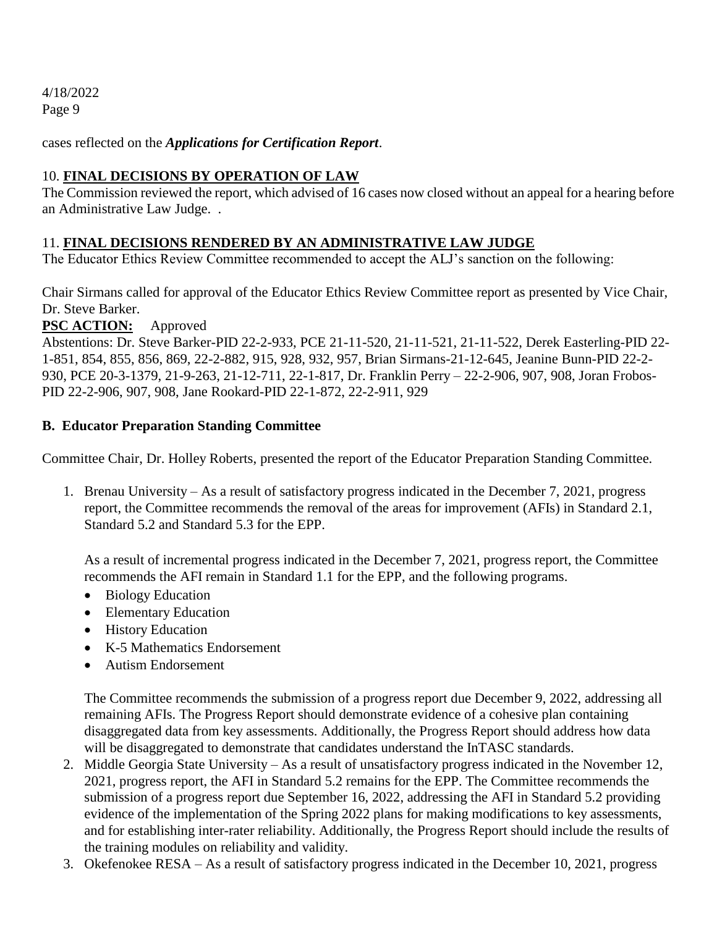cases reflected on the *Applications for Certification Report*.

# 10. **FINAL DECISIONS BY OPERATION OF LAW**

The Commission reviewed the report, which advised of 16 cases now closed without an appeal for a hearing before an Administrative Law Judge. .

# 11. **FINAL DECISIONS RENDERED BY AN ADMINISTRATIVE LAW JUDGE**

The Educator Ethics Review Committee recommended to accept the ALJ's sanction on the following:

Chair Sirmans called for approval of the Educator Ethics Review Committee report as presented by Vice Chair, Dr. Steve Barker.

**PSC ACTION:** Approved

Abstentions: Dr. Steve Barker-PID 22-2-933, PCE 21-11-520, 21-11-521, 21-11-522, Derek Easterling-PID 22- 1-851, 854, 855, 856, 869, 22-2-882, 915, 928, 932, 957, Brian Sirmans-21-12-645, Jeanine Bunn-PID 22-2- 930, PCE 20-3-1379, 21-9-263, 21-12-711, 22-1-817, Dr. Franklin Perry – 22-2-906, 907, 908, Joran Frobos-PID 22-2-906, 907, 908, Jane Rookard-PID 22-1-872, 22-2-911, 929

# **B. Educator Preparation Standing Committee**

Committee Chair, Dr. Holley Roberts, presented the report of the Educator Preparation Standing Committee.

1. Brenau University – As a result of satisfactory progress indicated in the December 7, 2021, progress report, the Committee recommends the removal of the areas for improvement (AFIs) in Standard 2.1, Standard 5.2 and Standard 5.3 for the EPP.

As a result of incremental progress indicated in the December 7, 2021, progress report, the Committee recommends the AFI remain in Standard 1.1 for the EPP, and the following programs.

- Biology Education
- Elementary Education
- History Education
- K-5 Mathematics Endorsement
- Autism Endorsement

The Committee recommends the submission of a progress report due December 9, 2022, addressing all remaining AFIs. The Progress Report should demonstrate evidence of a cohesive plan containing disaggregated data from key assessments. Additionally, the Progress Report should address how data will be disaggregated to demonstrate that candidates understand the InTASC standards.

- 2. Middle Georgia State University As a result of unsatisfactory progress indicated in the November 12, 2021, progress report, the AFI in Standard 5.2 remains for the EPP. The Committee recommends the submission of a progress report due September 16, 2022, addressing the AFI in Standard 5.2 providing evidence of the implementation of the Spring 2022 plans for making modifications to key assessments, and for establishing inter-rater reliability. Additionally, the Progress Report should include the results of the training modules on reliability and validity.
- 3. Okefenokee RESA As a result of satisfactory progress indicated in the December 10, 2021, progress